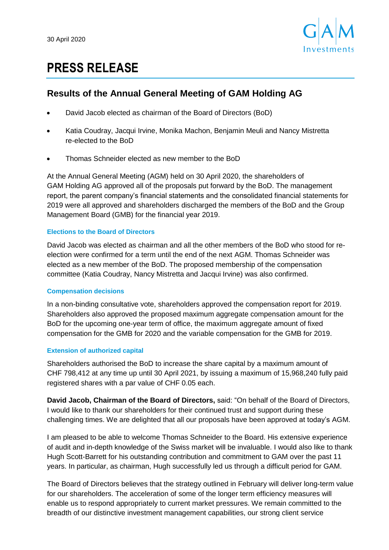

# **PRESS RELEASE**

## **Results of the Annual General Meeting of GAM Holding AG**

- David Jacob elected as chairman of the Board of Directors (BoD)
- Katia Coudray, Jacqui Irvine, Monika Machon, Benjamin Meuli and Nancy Mistretta re-elected to the BoD
- Thomas Schneider elected as new member to the BoD

At the Annual General Meeting (AGM) held on 30 April 2020, the shareholders of GAM Holding AG approved all of the proposals put forward by the BoD. The management report, the parent company's financial statements and the consolidated financial statements for 2019 were all approved and shareholders discharged the members of the BoD and the Group Management Board (GMB) for the financial year 2019.

## **Elections to the Board of Directors**

David Jacob was elected as chairman and all the other members of the BoD who stood for reelection were confirmed for a term until the end of the next AGM. Thomas Schneider was elected as a new member of the BoD. The proposed membership of the compensation committee (Katia Coudray, Nancy Mistretta and Jacqui Irvine) was also confirmed.

## **Compensation decisions**

In a non-binding consultative vote, shareholders approved the compensation report for 2019. Shareholders also approved the proposed maximum aggregate compensation amount for the BoD for the upcoming one-year term of office, the maximum aggregate amount of fixed compensation for the GMB for 2020 and the variable compensation for the GMB for 2019.

## **Extension of authorized capital**

Shareholders authorised the BoD to increase the share capital by a maximum amount of CHF 798,412 at any time up until 30 April 2021, by issuing a maximum of 15,968,240 fully paid registered shares with a par value of CHF 0.05 each.

**David Jacob, Chairman of the Board of Directors,** said: "On behalf of the Board of Directors, I would like to thank our shareholders for their continued trust and support during these challenging times. We are delighted that all our proposals have been approved at today's AGM.

I am pleased to be able to welcome Thomas Schneider to the Board. His extensive experience of audit and in-depth knowledge of the Swiss market will be invaluable. I would also like to thank Hugh Scott-Barrett for his outstanding contribution and commitment to GAM over the past 11 years. In particular, as chairman, Hugh successfully led us through a difficult period for GAM.

The Board of Directors believes that the strategy outlined in February will deliver long-term value for our shareholders. The acceleration of some of the longer term efficiency measures will enable us to respond appropriately to current market pressures. We remain committed to the breadth of our distinctive investment management capabilities, our strong client service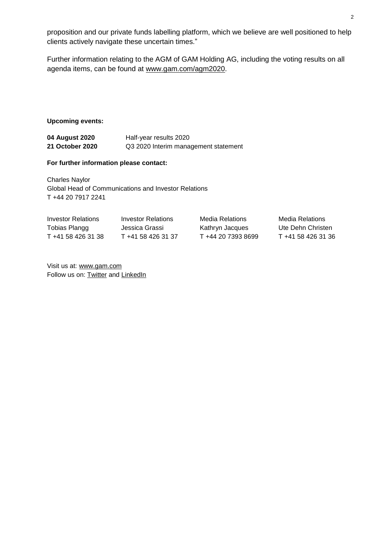proposition and our private funds labelling platform, which we believe are well positioned to help clients actively navigate these uncertain times."

Further information relating to the AGM of GAM Holding AG, including the voting results on all agenda items, can be found at [www.gam.com/agm2020.](https://www.gam.com/en/our-company/investor-relations/annual-general-meeting)

#### **Upcoming events:**

| 04 August 2020  | Half-year results 2020               |
|-----------------|--------------------------------------|
| 21 October 2020 | Q3 2020 Interim management statement |

#### **For further information please contact:**

Charles Naylor Global Head of Communications and Investor Relations T +44 20 7917 2241

| Investor Relations | Investor Relations | Media Relations    | Media Relations    |
|--------------------|--------------------|--------------------|--------------------|
| Tobias Plangg      | Jessica Grassi     | Kathryn Jacques    | Ute Dehn Christen  |
| T +41 58 426 31 38 | T +41 58 426 31 37 | T +44 20 7393 8699 | T +41 58 426 31 36 |

Visit us at: [www.gam.com](http://www.gam.com/) Follow us on: **Twitter** and **[LinkedIn](https://www.linkedin.com/company/gam?trk=company_logo)**